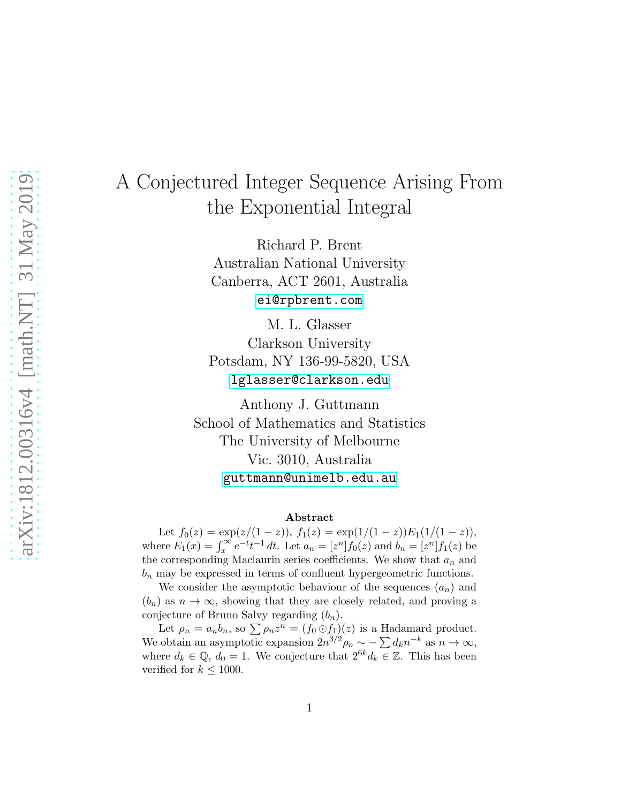# A Conjectured Integer Sequence Arising From the Exponential Integral

Richard P. Brent Australian National University Canberra, ACT 2601, Australia [ei@rpbrent.com](mailto:ei@rpbrent.com)

M. L. Glasser Clarkson University Potsdam, NY 136-99-5820, USA [lglasser@clarkson.edu](mailto:lglasser@clarkson.edu)

Anthony J. Guttmann School of Mathematics and Statistics The University of Melbourne Vic. 3010, Australia [guttmann@unimelb.edu.au](mailto:guttmann@unimelb.edu.au)

#### Abstract

Let  $f_0(z) = \exp(z/(1-z)), f_1(z) = \exp(1/(1-z))E_1(1/(1-z)),$ where  $E_1(x) = \int_x^{\infty} e^{-t} t^{-1} dt$ . Let  $a_n = [z^n] f_0(z)$  and  $b_n = [z^n] f_1(z)$  be the corresponding Maclaurin series coefficients. We show that  $a_n$  and  $b_n$  may be expressed in terms of confluent hypergeometric functions.

We consider the asymptotic behaviour of the sequences  $(a_n)$  and  $(b_n)$  as  $n \to \infty$ , showing that they are closely related, and proving a conjecture of Bruno Salvy regarding  $(b_n)$ .

Let  $\rho_n = a_n b_n$ , so  $\sum \rho_n z^n = (f_0 \odot f_1)(z)$  is a Hadamard product. We obtain an asymptotic expansion  $2n^{3/2}\rho_n \sim -\sum_{k=1}^{\infty} d_k n^{-k}$  as  $n \to \infty$ , where  $d_k \in \mathbb{Q}$ ,  $d_0 = 1$ . We conjecture that  $2^{6k} d_k \in \mathbb{Z}$ . This has been verified for  $k \leq 1000$ .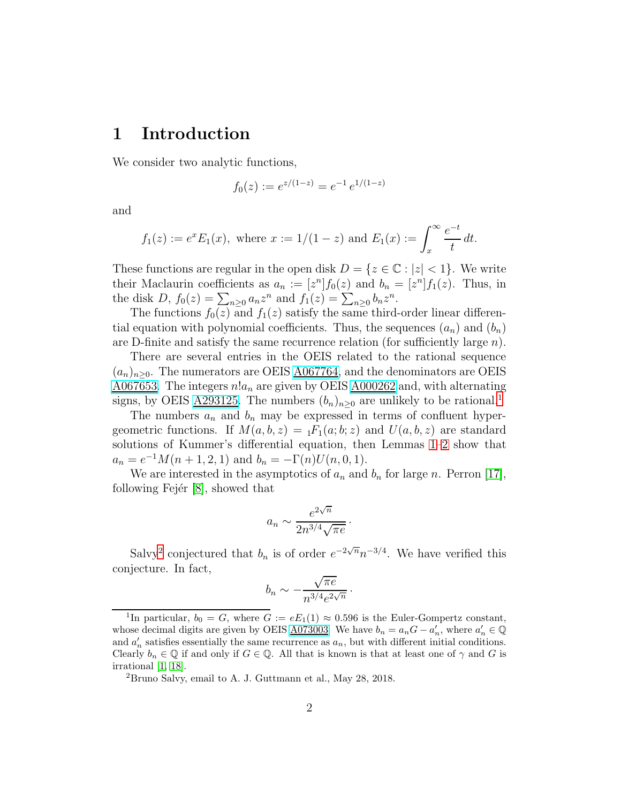# <span id="page-1-2"></span>1 Introduction

We consider two analytic functions,

$$
f_0(z) := e^{z/(1-z)} = e^{-1} e^{1/(1-z)}
$$

and

$$
f_1(z) := e^x E_1(x)
$$
, where  $x := 1/(1 - z)$  and  $E_1(x) := \int_x^{\infty} \frac{e^{-t}}{t} dt$ .

These functions are regular in the open disk  $D = \{z \in \mathbb{C} : |z| < 1\}$ . We write their Maclaurin coefficients as  $a_n := [z^n] f_0(z)$  and  $b_n = [z^n] f_1(z)$ . Thus, in the disk  $D, f_0(z) = \sum_{n\geq 0} a_n z^n$  and  $f_1(z) = \sum_{n\geq 0} b_n z^n$ .

The functions  $f_0(z)$  and  $f_1(z)$  satisfy the same third-order linear differential equation with polynomial coefficients. Thus, the sequences  $(a_n)$  and  $(b_n)$ are D-finite and satisfy the same recurrence relation (for sufficiently large n).

There are several entries in the OEIS related to the rational sequence  $(a_n)_{n>0}$ . The numerators are OEIS  $\underline{\text{A067764}}$ , and the denominators are OEIS [A067653.](http://oeis.org/A067653) The integers  $n!a_n$  are given by OEIS  $\underline{\text{A}000262}$  and, with alternating signs, by OEIS <u>A293[1](#page-1-0)25</u>. The numbers  $(b_n)_{n\geq 0}$  are unlikely to be rational.<sup>1</sup>

The numbers  $a_n$  and  $b_n$  may be expressed in terms of confluent hypergeometric functions. If  $M(a, b, z) = {}_1F_1(a; b; z)$  and  $U(a, b, z)$  are standard solutions of Kummer's differential equation, then Lemmas [1](#page-4-0)[–2](#page-4-1) show that  $a_n = e^{-1}M(n+1,2,1)$  and  $b_n = -\Gamma(n)U(n,0,1)$ .

We are interested in the asymptotics of  $a_n$  and  $b_n$  for large n. Perron [\[17\]](#page-16-0), following Fejér  $[8]$ , showed that

$$
a_n \sim \frac{e^{2\sqrt{n}}}{2n^{3/4}\sqrt{\pi e}}.
$$

Salvy<sup>[2](#page-1-1)</sup> conjectured that  $b_n$  is of order  $e^{-2\sqrt{n}}n^{-3/4}$ . We have verified this conjecture. In fact,

$$
b_n \sim -\frac{\sqrt{\pi e}}{n^{3/4}e^{2\sqrt{n}}}.
$$

<span id="page-1-0"></span><sup>&</sup>lt;sup>1</sup>In particular,  $b_0 = G$ , where  $G := eE_1(1) \approx 0.596$  is the Euler-Gompertz constant, whose decimal digits are given by OEIS <u>A073003</u>. We have  $b_n = a_n G - a'_n$ , where  $a'_n \in \mathbb{Q}$ and  $a'_n$  satisfies essentially the same recurrence as  $a_n$ , but with different initial conditions. Clearly  $b_n \in \mathbb{Q}$  if and only if  $G \in \mathbb{Q}$ . All that is known is that at least one of  $\gamma$  and G is irrational [\[1,](#page-15-0) [18\]](#page-16-2).

<span id="page-1-1"></span><sup>2</sup>Bruno Salvy, email to A. J. Guttmann et al., May 28, 2018.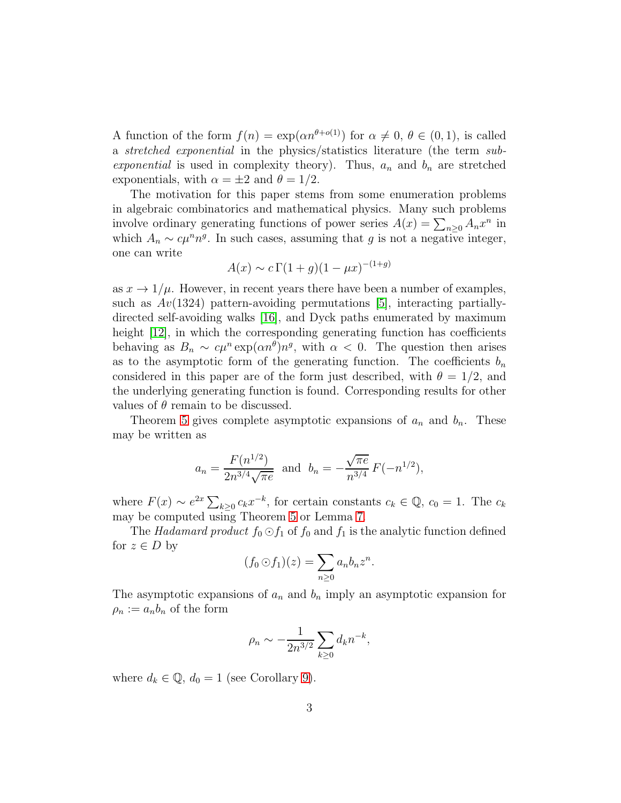A function of the form  $f(n) = \exp(\alpha n^{\theta+o(1)})$  for  $\alpha \neq 0, \theta \in (0, 1)$ , is called a *stretched exponential* in the physics/statistics literature (the term *subexponential* is used in complexity theory). Thus,  $a_n$  and  $b_n$  are stretched exponentials, with  $\alpha = \pm 2$  and  $\theta = 1/2$ .

The motivation for this paper stems from some enumeration problems in algebraic combinatorics and mathematical physics. Many such problems involve ordinary generating functions of power series  $A(x) = \sum_{n\geq 0} A_n x^n$  in which  $A_n \sim c\mu^n n^g$ . In such cases, assuming that g is not a negative integer, one can write

$$
A(x) \sim c \Gamma(1+g)(1-\mu x)^{-(1+g)}
$$

as  $x \to 1/\mu$ . However, in recent years there have been a number of examples, such as  $Av(1324)$  pattern-avoiding permutations [\[5\]](#page-15-1), interacting partiallydirected self-avoiding walks [\[16\]](#page-16-3), and Dyck paths enumerated by maximum height  $|12|$ , in which the corresponding generating function has coefficients behaving as  $B_n \sim c\mu^n \exp(\alpha n^{\theta}) n^g$ , with  $\alpha < 0$ . The question then arises as to the asymptotic form of the generating function. The coefficients  $b_n$ considered in this paper are of the form just described, with  $\theta = 1/2$ , and the underlying generating function is found. Corresponding results for other values of  $\theta$  remain to be discussed.

Theorem [5](#page-6-0) gives complete asymptotic expansions of  $a_n$  and  $b_n$ . These may be written as

$$
a_n = \frac{F(n^{1/2})}{2n^{3/4}\sqrt{\pi e}}
$$
 and  $b_n = -\frac{\sqrt{\pi e}}{n^{3/4}}F(-n^{1/2}),$ 

where  $F(x) \sim e^{2x} \sum_{k\geq 0} c_k x^{-k}$ , for certain constants  $c_k \in \mathbb{Q}$ ,  $c_0 = 1$ . The  $c_k$ may be computed using Theorem [5](#page-6-0) or Lemma [7.](#page-8-0)

The *Hadamard product*  $f_0 \odot f_1$  of  $f_0$  and  $f_1$  is the analytic function defined for  $z \in D$  by

$$
(f_0 \odot f_1)(z) = \sum_{n \geq 0} a_n b_n z^n.
$$

The asymptotic expansions of  $a_n$  and  $b_n$  imply an asymptotic expansion for  $\rho_n := a_n b_n$  of the form

$$
\rho_n \sim -\frac{1}{2n^{3/2}} \sum_{k\geq 0} d_k n^{-k},
$$

where  $d_k \in \mathbb{Q}$ ,  $d_0 = 1$  (see Corollary [9\)](#page-10-0).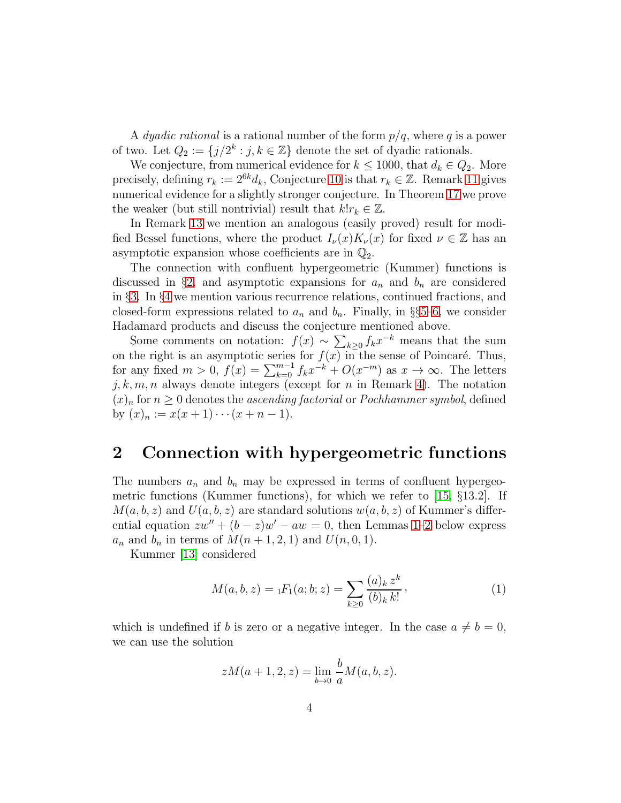A *dyadic rational* is a rational number of the form  $p/q$ , where q is a power of two. Let  $Q_2 := \{j/2^k : j, k \in \mathbb{Z}\}\$  denote the set of dyadic rationals.

We conjecture, from numerical evidence for  $k \le 1000$ , that  $d_k \in Q_2$ . More precisely, defining  $r_k := 2^{6k} d_k$ , Conjecture [10](#page-11-0) is that  $r_k \in \mathbb{Z}$ . Remark [11](#page-11-1) gives numerical evidence for a slightly stronger conjecture. In Theorem [17](#page-14-0) we prove the weaker (but still nontrivial) result that  $k!r_k \in \mathbb{Z}$ .

In Remark [13](#page-11-2) we mention an analogous (easily proved) result for modified Bessel functions, where the product  $I_{\nu}(x)K_{\nu}(x)$  for fixed  $\nu \in \mathbb{Z}$  has an asymptotic expansion whose coefficients are in  $\mathbb{Q}_2$ .

The connection with confluent hypergeometric (Kummer) functions is discussed in §[2,](#page-3-0) and asymptotic expansions for  $a_n$  and  $b_n$  are considered in §[3.](#page-6-1) In §[4](#page-8-1) we mention various recurrence relations, continued fractions, and closed-form expressions related to  $a_n$  and  $b_n$ . Finally, in §§[5–](#page-10-1)[6,](#page-12-0) we consider Hadamard products and discuss the conjecture mentioned above.

Some comments on notation:  $f(x) \sim \sum_{k\geq 0} f_k x^{-k}$  means that the sum  $k\geq 0$ on the right is an asymptotic series for  $f(x)$  in the sense of Poincaré. Thus, for any fixed  $m > 0$ ,  $f(x) = \sum_{k=0}^{m-1} f_k x^{-k} + O(x^{-m})$  as  $x \to \infty$ . The letters  $j, k, m, n$  always denote integers (except for n in Remark [4\)](#page-5-0). The notation  $(x)_n$  for  $n \geq 0$  denotes the *ascending factorial* or *Pochhammer symbol*, defined by  $(x)_n := x(x+1)\cdots(x+n-1).$ 

#### <span id="page-3-0"></span>2 Connection with hypergeometric functions

The numbers  $a_n$  and  $b_n$  may be expressed in terms of confluent hypergeometric functions (Kummer functions), for which we refer to [\[15,](#page-16-5) §13.2]. If  $M(a, b, z)$  and  $U(a, b, z)$  are standard solutions  $w(a, b, z)$  of Kummer's differential equation  $zw'' + (b - z)w' - aw = 0$ , then Lemmas [1–](#page-4-0)[2](#page-4-1) below express  $a_n$  and  $b_n$  in terms of  $M(n+1,2,1)$  and  $U(n,0,1)$ .

Kummer [\[13\]](#page-16-6) considered

$$
M(a, b, z) = {}_1F_1(a; b; z) = \sum_{k \ge 0} \frac{(a)_k z^k}{(b)_k k!},
$$
 (1)

which is undefined if b is zero or a negative integer. In the case  $a \neq b = 0$ , we can use the solution

$$
zM(a + 1, 2, z) = \lim_{b \to 0} \frac{b}{a} M(a, b, z).
$$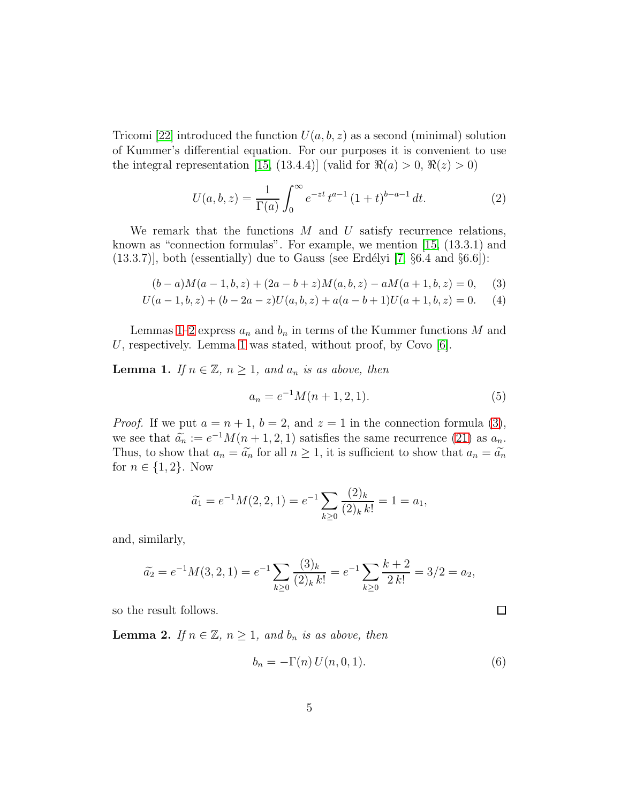Tricomi [\[22\]](#page-17-0) introduced the function  $U(a, b, z)$  as a second (minimal) solution of Kummer's differential equation. For our purposes it is convenient to use the integral representation [\[15,](#page-16-5) (13.4.4)] (valid for  $\Re(a) > 0$ ,  $\Re(z) > 0$ )

<span id="page-4-3"></span>
$$
U(a, b, z) = \frac{1}{\Gamma(a)} \int_0^\infty e^{-zt} t^{a-1} (1+t)^{b-a-1} dt.
$$
 (2)

We remark that the functions  $M$  and  $U$  satisfy recurrence relations, known as "connection formulas". For example, we mention [\[15,](#page-16-5) (13.3.1) and  $(13.3.7)$ ], both (essentially) due to Gauss (see Erdélyi [\[7,](#page-16-7) §6.4 and §6.6]):

$$
(b-a)M(a-1,b,z) + (2a - b + z)M(a,b,z) - aM(a+1,b,z) = 0,
$$
 (3)

$$
U(a-1,b,z) + (b-2a-z)U(a,b,z) + a(a-b+1)U(a+1,b,z) = 0.
$$
 (4)

Lemmas [1](#page-4-0)[–2](#page-4-1) express  $a_n$  and  $b_n$  in terms of the Kummer functions M and U, respectively. Lemma [1](#page-4-0) was stated, without proof, by Covo  $[6]$ .

<span id="page-4-0"></span>**Lemma 1.** *If*  $n \in \mathbb{Z}$ ,  $n \geq 1$ , and  $a_n$  *is as above, then* 

<span id="page-4-4"></span><span id="page-4-2"></span>
$$
a_n = e^{-1}M(n+1,2,1).
$$
 (5)

*Proof.* If we put  $a = n + 1$ ,  $b = 2$ , and  $z = 1$  in the connection formula [\(3\)](#page-4-2), we see that  $\tilde{a}_n := e^{-1}M(n+1,2,1)$  satisfies the same recurrence [\(21\)](#page-8-2) as  $a_n$ . Thus, to show that  $a_n = \tilde{a}_n$  for all  $n \ge 1$ , it is sufficient to show that  $a_n = \tilde{a}_n$ for  $n \in \{1, 2\}$ . Now

$$
\widetilde{a}_1 = e^{-1}M(2,2,1) = e^{-1} \sum_{k \ge 0} \frac{(2)_k}{(2)_k k!} = 1 = a_1,
$$

and, similarly,

$$
\widetilde{a}_2 = e^{-1}M(3,2,1) = e^{-1} \sum_{k \ge 0} \frac{(3)_k}{(2)_k k!} = e^{-1} \sum_{k \ge 0} \frac{k+2}{2k!} = 3/2 = a_2,
$$

so the result follows.

<span id="page-4-1"></span>**Lemma 2.** *If*  $n \in \mathbb{Z}$ ,  $n \geq 1$ , and  $b_n$  *is as above, then* 

$$
b_n = -\Gamma(n) U(n, 0, 1). \tag{6}
$$

 $\Box$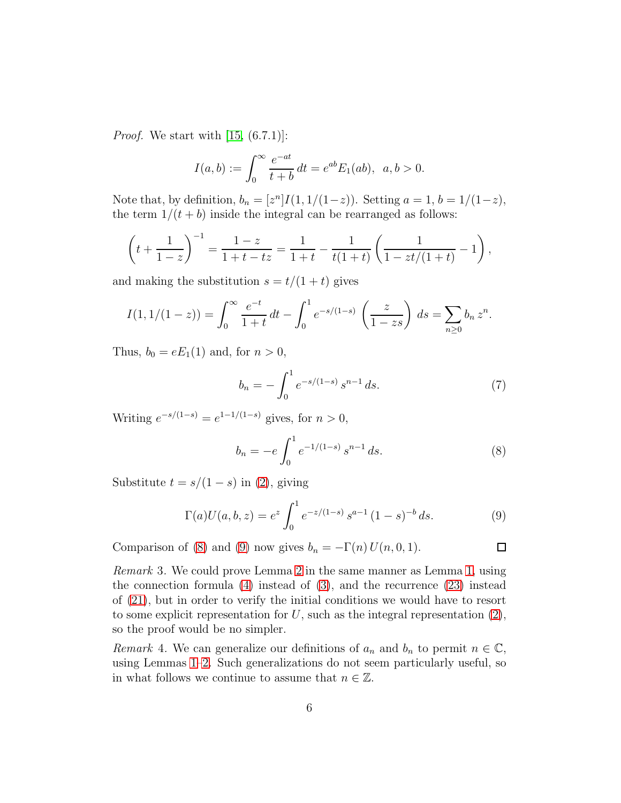*Proof.* We start with [\[15,](#page-16-5) (6.7.1)]:

$$
I(a,b) := \int_0^\infty \frac{e^{-at}}{t+b} dt = e^{ab} E_1(ab), \ \ a, b > 0.
$$

Note that, by definition,  $b_n = [z^n]I(1, 1/(1-z))$ . Setting  $a = 1, b = 1/(1-z)$ , the term  $1/(t + b)$  inside the integral can be rearranged as follows:

$$
\left(t + \frac{1}{1-z}\right)^{-1} = \frac{1-z}{1+t-tz} = \frac{1}{1+t} - \frac{1}{t(1+t)} \left(\frac{1}{1-zt/(1+t)} - 1\right),
$$

and making the substitution  $s = t/(1 + t)$  gives

$$
I(1,1/(1-z)) = \int_0^\infty \frac{e^{-t}}{1+t} dt - \int_0^1 e^{-s/(1-s)} \left(\frac{z}{1-zs}\right) ds = \sum_{n\geq 0} b_n z^n.
$$

Thus,  $b_0 = eE_1(1)$  and, for  $n > 0$ ,

$$
b_n = -\int_0^1 e^{-s/(1-s)} s^{n-1} ds.
$$
 (7)

Writing  $e^{-s/(1-s)} = e^{1-1/(1-s)}$  gives, for  $n > 0$ ,

<span id="page-5-1"></span>
$$
b_n = -e \int_0^1 e^{-1/(1-s)} s^{n-1} ds.
$$
 (8)

 $\Box$ 

Substitute  $t = s/(1 - s)$  in [\(2\)](#page-4-3), giving

<span id="page-5-2"></span>
$$
\Gamma(a)U(a,b,z) = e^z \int_0^1 e^{-z/(1-s)} s^{a-1} (1-s)^{-b} ds.
$$
 (9)

Comparison of [\(8\)](#page-5-1) and [\(9\)](#page-5-2) now gives  $b_n = -\Gamma(n) U(n, 0, 1)$ .

*Remark* 3*.* We could prove Lemma [2](#page-4-1) in the same manner as Lemma [1,](#page-4-0) using the connection formula  $(4)$  instead of  $(3)$ , and the recurrence  $(23)$  instead of [\(21\)](#page-8-2), but in order to verify the initial conditions we would have to resort to some explicit representation for  $U$ , such as the integral representation  $(2)$ , so the proof would be no simpler.

<span id="page-5-0"></span>*Remark* 4. We can generalize our definitions of  $a_n$  and  $b_n$  to permit  $n \in \mathbb{C}$ , using Lemmas [1–](#page-4-0)[2.](#page-4-1) Such generalizations do not seem particularly useful, so in what follows we continue to assume that  $n \in \mathbb{Z}$ .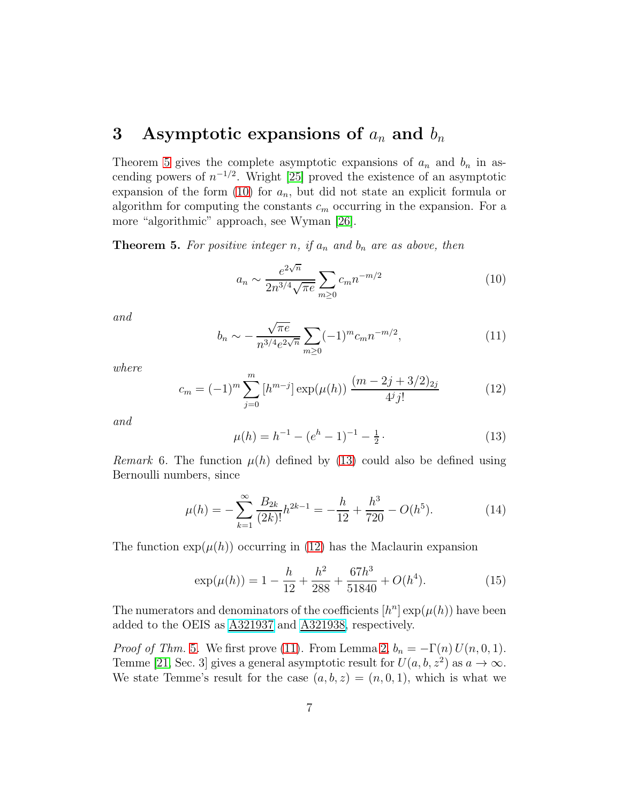# <span id="page-6-1"></span>3 Asymptotic expansions of  $a_n$  and  $b_n$

Theorem [5](#page-6-0) gives the complete asymptotic expansions of  $a_n$  and  $b_n$  in ascending powers of  $n^{-1/2}$ . Wright [\[25\]](#page-17-1) proved the existence of an asymptotic expansion of the form  $(10)$  for  $a_n$ , but did not state an explicit formula or algorithm for computing the constants  $c_m$  occurring in the expansion. For a more "algorithmic" approach, see Wyman [\[26\]](#page-17-2).

<span id="page-6-0"></span>**Theorem 5.** For positive integer n, if  $a_n$  and  $b_n$  are as above, then

<span id="page-6-2"></span>
$$
a_n \sim \frac{e^{2\sqrt{n}}}{2n^{3/4}\sqrt{\pi e}} \sum_{m \ge 0} c_m n^{-m/2}
$$
 (10)

*and*

<span id="page-6-5"></span>
$$
b_n \sim -\frac{\sqrt{\pi e}}{n^{3/4} e^{2\sqrt{n}}} \sum_{m \ge 0} (-1)^m c_m n^{-m/2}, \tag{11}
$$

*where*

<span id="page-6-4"></span>
$$
c_m = (-1)^m \sum_{j=0}^m \left[ h^{m-j} \right] \exp(\mu(h)) \frac{(m-2j+3/2)_{2j}}{4^j j!}
$$
 (12)

*and*

<span id="page-6-3"></span>
$$
\mu(h) = h^{-1} - (e^h - 1)^{-1} - \frac{1}{2} \,. \tag{13}
$$

*Remark* 6. The function  $\mu(h)$  defined by [\(13\)](#page-6-3) could also be defined using Bernoulli numbers, since

<span id="page-6-6"></span>
$$
\mu(h) = -\sum_{k=1}^{\infty} \frac{B_{2k}}{(2k)!} h^{2k-1} = -\frac{h}{12} + \frac{h^3}{720} - O(h^5). \tag{14}
$$

The function  $\exp(\mu(h))$  occurring in [\(12\)](#page-6-4) has the Maclaurin expansion

$$
\exp(\mu(h)) = 1 - \frac{h}{12} + \frac{h^2}{288} + \frac{67h^3}{51840} + O(h^4). \tag{15}
$$

The numerators and denominators of the coefficients  $[h^n] \exp(\mu(h))$  have been added to the OEIS as [A321937](http://oeis.org/A321937) and [A321938,](http://oeis.org/A321938) respectively.

*Proof of Thm.* [5](#page-6-0)*.* We first prove [\(11\)](#page-6-5). From Lemma [2,](#page-4-1)  $b_n = -\Gamma(n) U(n, 0, 1)$ . Temme [\[21,](#page-17-3) Sec. 3] gives a general asymptotic result for  $U(a, b, z^2)$  as  $a \to \infty$ . We state Temme's result for the case  $(a, b, z) = (n, 0, 1)$ , which is what we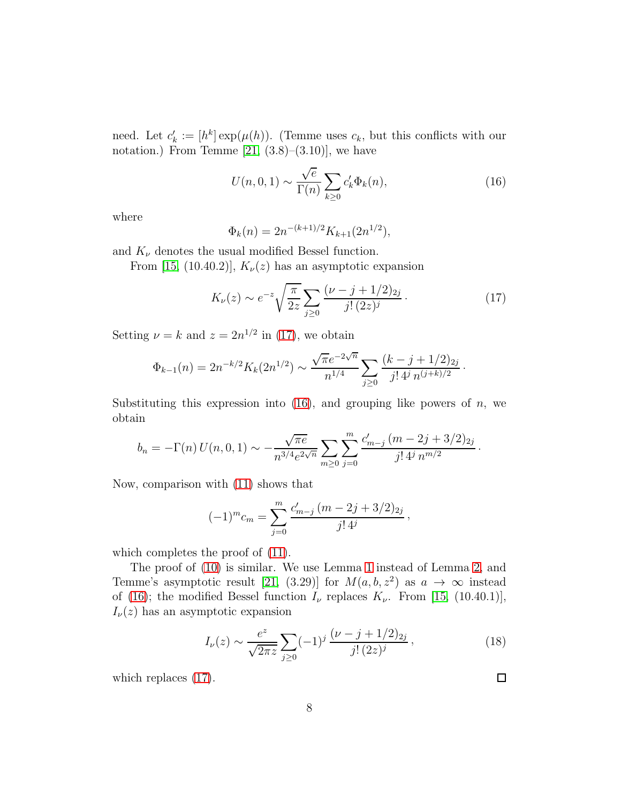need. Let  $c'_k := [h^k] \exp(\mu(h))$ . (Temme uses  $c_k$ , but this conflicts with our notation.) From Temme  $[21, (3.8)–(3.10)]$ , we have

<span id="page-7-1"></span>
$$
U(n,0,1) \sim \frac{\sqrt{e}}{\Gamma(n)} \sum_{k\geq 0} c'_k \Phi_k(n),\tag{16}
$$

where

$$
\Phi_k(n) = 2n^{-(k+1)/2} K_{k+1}(2n^{1/2}),
$$

and  $K_{\nu}$  denotes the usual modified Bessel function.

From [\[15,](#page-16-5) (10.40.2)],  $K_{\nu}(z)$  has an asymptotic expansion

<span id="page-7-0"></span>
$$
K_{\nu}(z) \sim e^{-z} \sqrt{\frac{\pi}{2z}} \sum_{j \ge 0} \frac{(\nu - j + 1/2)_{2j}}{j! \, (2z)^j} \,. \tag{17}
$$

Setting  $\nu = k$  and  $z = 2n^{1/2}$  in [\(17\)](#page-7-0), we obtain

$$
\Phi_{k-1}(n) = 2n^{-k/2} K_k(2n^{1/2}) \sim \frac{\sqrt{\pi}e^{-2\sqrt{n}}}{n^{1/4}} \sum_{j\geq 0} \frac{(k-j+1/2)_{2j}}{j!\, 4^j \, n^{(j+k)/2}}.
$$

Substituting this expression into  $(16)$ , and grouping like powers of n, we obtain

$$
b_n = -\Gamma(n) U(n, 0, 1) \sim -\frac{\sqrt{\pi e}}{n^{3/4} e^{2\sqrt{n}}} \sum_{m \ge 0} \sum_{j=0}^m \frac{c'_{m-j} (m - 2j + 3/2)_{2j}}{j! 4^j n^{m/2}}.
$$

Now, comparison with [\(11\)](#page-6-5) shows that

$$
(-1)^{m}c_{m} = \sum_{j=0}^{m} \frac{c'_{m-j}(m-2j+3/2)_{2j}}{j!\,4^{j}},
$$

which completes the proof of  $(11)$ .

The proof of [\(10\)](#page-6-2) is similar. We use Lemma [1](#page-4-0) instead of Lemma [2,](#page-4-1) and Temme's asymptotic result [\[21,](#page-17-3) (3.29)] for  $M(a, b, z^2)$  as  $a \to \infty$  instead of [\(16\)](#page-7-1); the modified Bessel function  $I_{\nu}$  replaces  $K_{\nu}$ . From [\[15,](#page-16-5) (10.40.1)],  $I_{\nu}(z)$  has an asymptotic expansion

$$
I_{\nu}(z) \sim \frac{e^z}{\sqrt{2\pi z}} \sum_{j\geq 0} (-1)^j \frac{(\nu - j + 1/2)_{2j}}{j! \, (2z)^j},\tag{18}
$$

 $\Box$ 

which replaces [\(17\)](#page-7-0).

8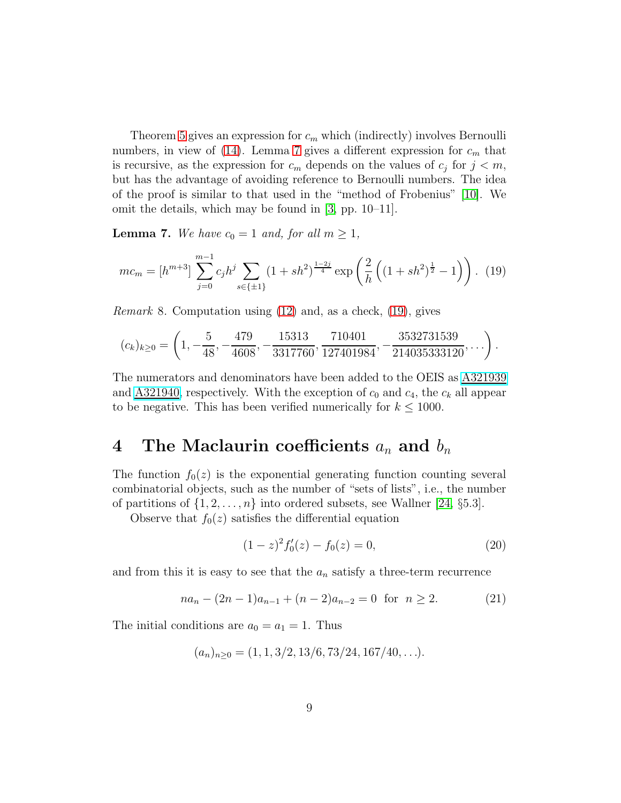Theorem [5](#page-6-0) gives an expression for  $c_m$  which (indirectly) involves Bernoulli numbers, in view of [\(14\)](#page-6-6). Lemma [7](#page-8-0) gives a different expression for  $c_m$  that is recursive, as the expression for  $c_m$  depends on the values of  $c_j$  for  $j < m$ , but has the advantage of avoiding reference to Bernoulli numbers. The idea of the proof is similar to that used in the "method of Frobenius" [\[10\]](#page-16-8). We omit the details, which may be found in [\[3,](#page-15-3) pp. 10–11].

<span id="page-8-0"></span>**Lemma 7.** We have  $c_0 = 1$  and, for all  $m \geq 1$ ,

<span id="page-8-3"></span>
$$
mc_m = [h^{m+3}] \sum_{j=0}^{m-1} c_j h^j \sum_{s \in \{\pm 1\}} (1 + sh^2)^{\frac{1-2j}{4}} \exp\left(\frac{2}{h} \left( (1 + sh^2)^{\frac{1}{2}} - 1 \right) \right). \tag{19}
$$

*Remark* 8*.* Computation using [\(12\)](#page-6-4) and, as a check, [\(19\)](#page-8-3), gives

$$
(c_k)_{k\geq 0} = \left(1, -\frac{5}{48}, -\frac{479}{4608}, -\frac{15313}{3317760}, \frac{710401}{127401984}, -\frac{3532731539}{214035333120}, \dots\right).
$$

The numerators and denominators have been added to the OEIS as [A321939](http://oeis.org/A321939) and  $\underline{A321940}$ , respectively. With the exception of  $c_0$  and  $c_4$ , the  $c_k$  all appear to be negative. This has been verified numerically for  $k \leq 1000$ .

# <span id="page-8-1"></span>4 The Maclaurin coefficients  $a_n$  and  $b_n$

The function  $f_0(z)$  is the exponential generating function counting several combinatorial objects, such as the number of "sets of lists", i.e., the number of partitions of  $\{1, 2, \ldots, n\}$  into ordered subsets, see Wallner [\[24,](#page-17-4) §5.3].

Observe that  $f_0(z)$  satisfies the differential equation

<span id="page-8-4"></span>
$$
(1-z)^2 f_0'(z) - f_0(z) = 0,
$$
\n(20)

and from this it is easy to see that the  $a_n$  satisfy a three-term recurrence

<span id="page-8-2"></span>
$$
na_n - (2n - 1)a_{n-1} + (n - 2)a_{n-2} = 0 \text{ for } n \ge 2.
$$
 (21)

The initial conditions are  $a_0 = a_1 = 1$ . Thus

$$
(a_n)_{n\geq 0} = (1, 1, 3/2, 13/6, 73/24, 167/40, \ldots).
$$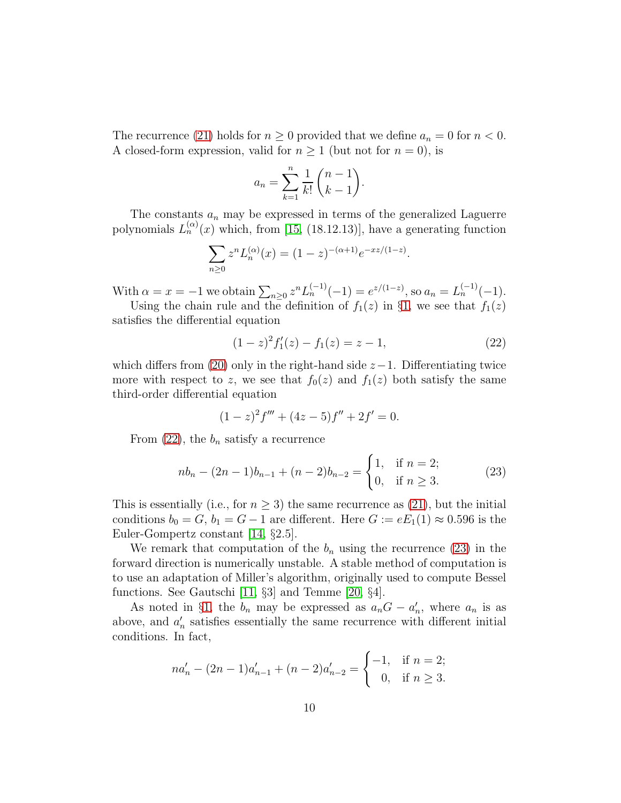The recurrence [\(21\)](#page-8-2) holds for  $n \geq 0$  provided that we define  $a_n = 0$  for  $n < 0$ . A closed-form expression, valid for  $n \geq 1$  (but not for  $n = 0$ ), is

$$
a_n = \sum_{k=1}^n \frac{1}{k!} \binom{n-1}{k-1}.
$$

The constants  $a_n$  may be expressed in terms of the generalized Laguerre polynomials  $L_n^{(\alpha)}(x)$  which, from [\[15,](#page-16-5) (18.12.13)], have a generating function

$$
\sum_{n\geq 0} z^n L_n^{(\alpha)}(x) = (1-z)^{-(\alpha+1)} e^{-xz/(1-z)}.
$$

With  $\alpha = x = -1$  we obtain  $\sum_{n\geq 0} z^n L_n^{(-1)}(-1) = e^{z/(1-z)}$ , so  $a_n = L_n^{(-1)}(-1)$ .

Using the chain rule and the definition of  $f_1(z)$  in §[1,](#page-1-2) we see that  $f_1(z)$ satisfies the differential equation

<span id="page-9-1"></span>
$$
(1-z)^2 f_1'(z) - f_1(z) = z - 1,
$$
\n(22)

which differs from [\(20\)](#page-8-4) only in the right-hand side  $z-1$ . Differentiating twice more with respect to z, we see that  $f_0(z)$  and  $f_1(z)$  both satisfy the same third-order differential equation

$$
(1-z)^2 f''' + (4z - 5)f'' + 2f' = 0.
$$

From  $(22)$ , the  $b_n$  satisfy a recurrence

<span id="page-9-0"></span>
$$
nb_n - (2n - 1)b_{n-1} + (n - 2)b_{n-2} = \begin{cases} 1, & \text{if } n = 2; \\ 0, & \text{if } n \ge 3. \end{cases}
$$
 (23)

This is essentially (i.e., for  $n \geq 3$ ) the same recurrence as [\(21\)](#page-8-2), but the initial conditions  $b_0 = G$ ,  $b_1 = G - 1$  are different. Here  $G := eE_1(1) \approx 0.596$  is the Euler-Gompertz constant [\[14,](#page-16-9) §2.5].

We remark that computation of the  $b_n$  using the recurrence [\(23\)](#page-9-0) in the forward direction is numerically unstable. A stable method of computation is to use an adaptation of Miller's algorithm, originally used to compute Bessel functions. See Gautschi [\[11,](#page-16-10) §3] and Temme [\[20,](#page-17-5) §4].

As noted in §[1,](#page-1-2) the  $b_n$  may be expressed as  $a_nG - a'_n$ , where  $a_n$  is as above, and  $a'_n$  satisfies essentially the same recurrence with different initial conditions. In fact,

$$
na'_n - (2n - 1)a'_{n-1} + (n - 2)a'_{n-2} = \begin{cases} -1, & \text{if } n = 2; \\ 0, & \text{if } n \ge 3. \end{cases}
$$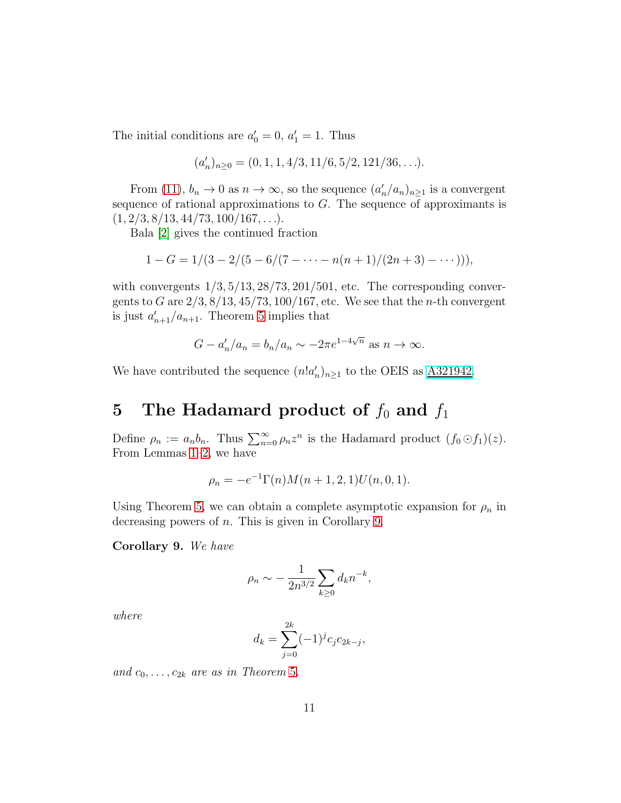The initial conditions are  $a'_0 = 0$ ,  $a'_1 = 1$ . Thus

$$
(a'_n)_{n\geq 0} = (0, 1, 1, 4/3, 11/6, 5/2, 121/36, \ldots).
$$

From [\(11\)](#page-6-5),  $b_n \to 0$  as  $n \to \infty$ , so the sequence  $(a'_n/a_n)_{n \geq 1}$  is a convergent sequence of rational approximations to  $G$ . The sequence of approximants is  $(1, 2/3, 8/13, 44/73, 100/167, \ldots).$ 

Bala [\[2\]](#page-15-4) gives the continued fraction

$$
1 - G = 1/(3 - 2/(5 - 6/(7 - \dots - n(n+1)/(2n+3) - \dots))),
$$

with convergents  $1/3$ ,  $5/13$ ,  $28/73$ ,  $201/501$ , etc. The corresponding convergents to G are  $2/3$ ,  $8/13$ ,  $45/73$ ,  $100/167$ , etc. We see that the *n*-th convergent is just  $a'_{n+1}/a_{n+1}$ . Theorem [5](#page-6-0) implies that

$$
G - a'_n/a_n = b_n/a_n \sim -2\pi e^{1-4\sqrt{n}} \text{ as } n \to \infty.
$$

We have contributed the sequence  $(n!a'_n)_{n\geq 1}$  to the OEIS as  $\underline{A321942}$ .

# <span id="page-10-1"></span>5 The Hadamard product of  $f_0$  and  $f_1$

Define  $\rho_n := a_n b_n$ . Thus  $\sum_{n=0}^{\infty} \rho_n z^n$  is the Hadamard product  $(f_0 \odot f_1)(z)$ . From Lemmas [1–](#page-4-0)[2,](#page-4-1) we have

$$
\rho_n = -e^{-1}\Gamma(n)M(n+1,2,1)U(n,0,1).
$$

Using Theorem [5,](#page-6-0) we can obtain a complete asymptotic expansion for  $\rho_n$  in decreasing powers of n. This is given in Corollary [9.](#page-10-0)

<span id="page-10-0"></span>Corollary 9. *We have*

$$
\rho_n \sim -\frac{1}{2n^{3/2}} \sum_{k\geq 0} d_k n^{-k},
$$

*where*

$$
d_k = \sum_{j=0}^{2k} (-1)^j c_j c_{2k-j},
$$

and  $c_0, \ldots, c_{2k}$  are as in Theorem [5](#page-6-0).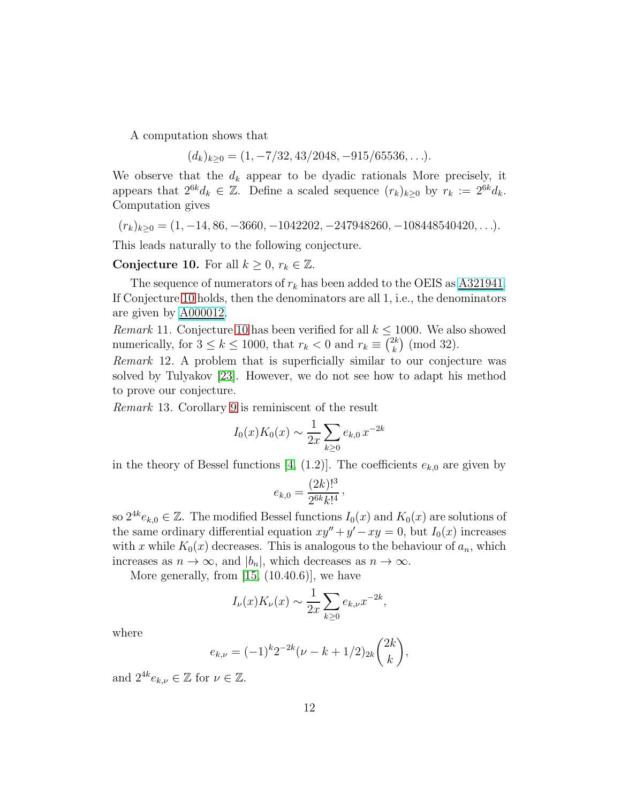A computation shows that

 $(d_k)_{k>0} = (1, -7/32, 43/2048, -915/65536, \ldots).$ 

We observe that the  $d_k$  appear to be dyadic rationals More precisely, it appears that  $2^{6k}d_k \in \mathbb{Z}$ . Define a scaled sequence  $(r_k)_{k\geq 0}$  by  $r_k := 2^{6k}d_k$ . Computation gives

$$
(r_k)_{k\geq 0} = (1, -14, 86, -3660, -1042202, -247948260, -108448540420, \ldots).
$$

This leads naturally to the following conjecture.

<span id="page-11-0"></span>Conjecture 10. For all  $k \geq 0$ ,  $r_k \in \mathbb{Z}$ .

The sequence of numerators of  $r_k$  has been added to the OEIS as  $\underline{\text{A321941}}$ . If Conjecture [10](#page-11-0) holds, then the denominators are all 1, i.e., the denominators are given by [A000012.](http://oeis.org/A000012)

<span id="page-11-1"></span>*Remark* 11. Conjecture [10](#page-11-0) has been verified for all  $k \leq 1000$ . We also showed numerically, for  $3 \leq k \leq 1000$ , that  $r_k < 0$  and  $r_k \equiv \binom{2k}{k}$  $\binom{2k}{k}$  (mod 32).

*Remark* 12*.* A problem that is superficially similar to our conjecture was solved by Tulyakov [\[23\]](#page-17-6). However, we do not see how to adapt his method to prove our conjecture.

<span id="page-11-2"></span>*Remark* 13*.* Corollary [9](#page-10-0) is reminiscent of the result

$$
I_0(x)K_0(x) \sim \frac{1}{2x} \sum_{k \ge 0} e_{k,0} x^{-2k}
$$

in the theory of Bessel functions [\[4,](#page-15-5) (1.2)]. The coefficients  $e_{k,0}$  are given by

$$
e_{k,0} = \frac{(2k)!^3}{2^{6k}k!^4},
$$

so  $2^{4k}e_{k,0} \in \mathbb{Z}$ . The modified Bessel functions  $I_0(x)$  and  $K_0(x)$  are solutions of the same ordinary differential equation  $xy'' + y' - xy = 0$ , but  $I_0(x)$  increases with x while  $K_0(x)$  decreases. This is analogous to the behaviour of  $a_n$ , which increases as  $n \to \infty$ , and  $|b_n|$ , which decreases as  $n \to \infty$ .

More generally, from  $[15, (10.40.6)]$ , we have

$$
I_{\nu}(x)K_{\nu}(x) \sim \frac{1}{2x} \sum_{k \geq 0} e_{k,\nu} x^{-2k},
$$

where

$$
e_{k,\nu} = (-1)^k 2^{-2k} (\nu - k + 1/2)_{2k} {2k \choose k},
$$

and  $2^{4k}e_{k,\nu}\in\mathbb{Z}$  for  $\nu\in\mathbb{Z}$ .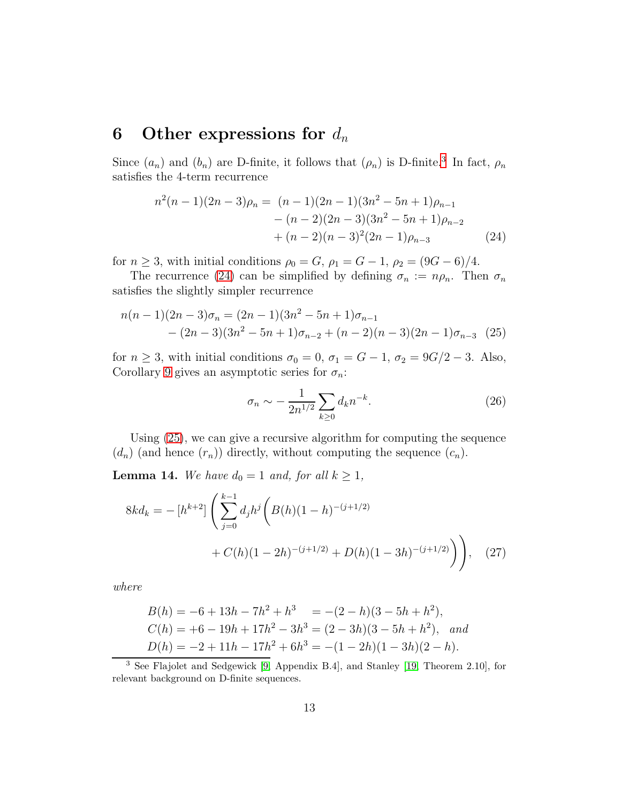#### <span id="page-12-0"></span>6 Other expressions for  $d_n$

Since  $(a_n)$  and  $(b_n)$  are D-finite, it follows that  $(\rho_n)$  is D-finite.<sup>[3](#page-12-1)</sup> In fact,  $\rho_n$ satisfies the 4-term recurrence

$$
n^{2}(n-1)(2n-3)\rho_{n} = (n-1)(2n-1)(3n^{2} - 5n + 1)\rho_{n-1}
$$

$$
- (n-2)(2n-3)(3n^{2} - 5n + 1)\rho_{n-2}
$$

$$
+ (n-2)(n-3)^{2}(2n-1)\rho_{n-3}
$$
(24)

for  $n \ge 3$ , with initial conditions  $\rho_0 = G$ ,  $\rho_1 = G - 1$ ,  $\rho_2 = (9G - 6)/4$ .

The recurrence [\(24\)](#page-12-2) can be simplified by defining  $\sigma_n := n \rho_n$ . Then  $\sigma_n$ satisfies the slightly simpler recurrence

$$
n(n-1)(2n-3)\sigma_n = (2n-1)(3n^2 - 5n + 1)\sigma_{n-1}
$$
  
-(2n-3)(3n<sup>2</sup> - 5n + 1)\sigma\_{n-2} + (n-2)(n-3)(2n-1)\sigma\_{n-3} (25)

for  $n \geq 3$ , with initial conditions  $\sigma_0 = 0$ ,  $\sigma_1 = G - 1$ ,  $\sigma_2 = 9G/2 - 3$ . Also, Corollary [9](#page-10-0) gives an asymptotic series for  $\sigma_n$ :

<span id="page-12-4"></span><span id="page-12-3"></span><span id="page-12-2"></span>
$$
\sigma_n \sim -\frac{1}{2n^{1/2}} \sum_{k \ge 0} d_k n^{-k}.
$$
 (26)

Using [\(25\)](#page-12-3), we can give a recursive algorithm for computing the sequence  $(d_n)$  (and hence  $(r_n)$ ) directly, without computing the sequence  $(c_n)$ .

<span id="page-12-5"></span>**Lemma 14.** *We have*  $d_0 = 1$  *and, for all*  $k \ge 1$ *,* 

$$
8kd_k = -[h^{k+2}] \left( \sum_{j=0}^{k-1} d_j h^j \left( B(h)(1-h)^{-(j+1/2)} + C(h)(1-2h)^{-(j+1/2)} + D(h)(1-3h)^{-(j+1/2)} \right) \right), \quad (27)
$$

*where*

$$
B(h) = -6 + 13h - 7h2 + h3 = -(2 - h)(3 - 5h + h2),
$$
  
\n
$$
C(h) = +6 - 19h + 17h2 - 3h3 = (2 - 3h)(3 - 5h + h2), and
$$
  
\n
$$
D(h) = -2 + 11h - 17h2 + 6h3 = -(1 - 2h)(1 - 3h)(2 - h).
$$

<span id="page-12-1"></span><sup>3</sup> See Flajolet and Sedgewick [\[9,](#page-16-11) Appendix B.4], and Stanley [\[19,](#page-16-12) Theorem 2.10], for relevant background on D-finite sequences.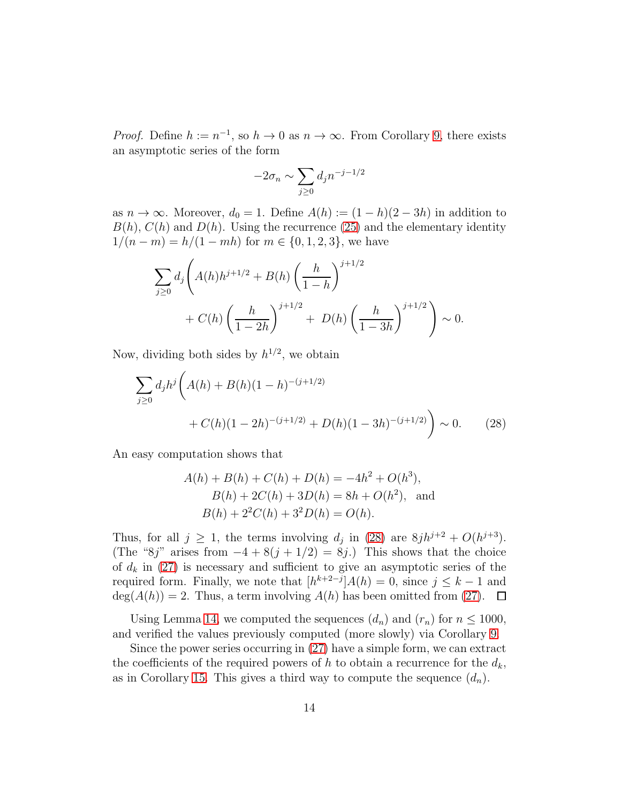*Proof.* Define  $h := n^{-1}$ , so  $h \to 0$  as  $n \to \infty$ . From Corollary [9,](#page-10-0) there exists an asymptotic series of the form

$$
-2\sigma_n \sim \sum_{j\geq 0} d_j n^{-j-1/2}
$$

as  $n \to \infty$ . Moreover,  $d_0 = 1$ . Define  $A(h) := (1 - h)(2 - 3h)$  in addition to  $B(h)$ ,  $C(h)$  and  $D(h)$ . Using the recurrence [\(25\)](#page-12-3) and the elementary identity  $1/(n-m) = h/(1 - mh)$  for  $m \in \{0, 1, 2, 3\}$ , we have

$$
\sum_{j\geq 0} d_j \left( A(h)h^{j+1/2} + B(h) \left( \frac{h}{1-h} \right)^{j+1/2} + C(h) \left( \frac{h}{1-2h} \right)^{j+1/2} + D(h) \left( \frac{h}{1-3h} \right)^{j+1/2} \right) \sim 0.
$$

Now, dividing both sides by  $h^{1/2}$ , we obtain

$$
\sum_{j\geq 0} d_j h^j \left( A(h) + B(h)(1-h)^{-(j+1/2)} + C(h)(1-2h)^{-(j+1/2)} + D(h)(1-3h)^{-(j+1/2)} \right) \sim 0.
$$
 (28)

An easy computation shows that

<span id="page-13-0"></span>
$$
A(h) + B(h) + C(h) + D(h) = -4h^2 + O(h^3),
$$
  
\n
$$
B(h) + 2C(h) + 3D(h) = 8h + O(h^2),
$$
 and  
\n
$$
B(h) + 2^2C(h) + 3^2D(h) = O(h).
$$

Thus, for all  $j \geq 1$ , the terms involving  $d_j$  in [\(28\)](#page-13-0) are  $8jh^{j+2} + O(h^{j+3})$ . (The "8j" arises from  $-4+8(j+1/2)=8j$ .) This shows that the choice of  $d_k$  in [\(27\)](#page-12-4) is necessary and sufficient to give an asymptotic series of the required form. Finally, we note that  $[h^{k+2-j}]A(h) = 0$ , since  $j \leq k-1$  and  $deg(A(h)) = 2$ . Thus, a term involving  $A(h)$  has been omitted from [\(27\)](#page-12-4).  $\Box$ 

Using Lemma [14,](#page-12-5) we computed the sequences  $(d_n)$  and  $(r_n)$  for  $n \leq 1000$ , and verified the values previously computed (more slowly) via Corollary [9.](#page-10-0)

Since the power series occurring in [\(27\)](#page-12-4) have a simple form, we can extract the coefficients of the required powers of h to obtain a recurrence for the  $d_k$ , as in Corollary [15.](#page-14-1) This gives a third way to compute the sequence  $(d_n)$ .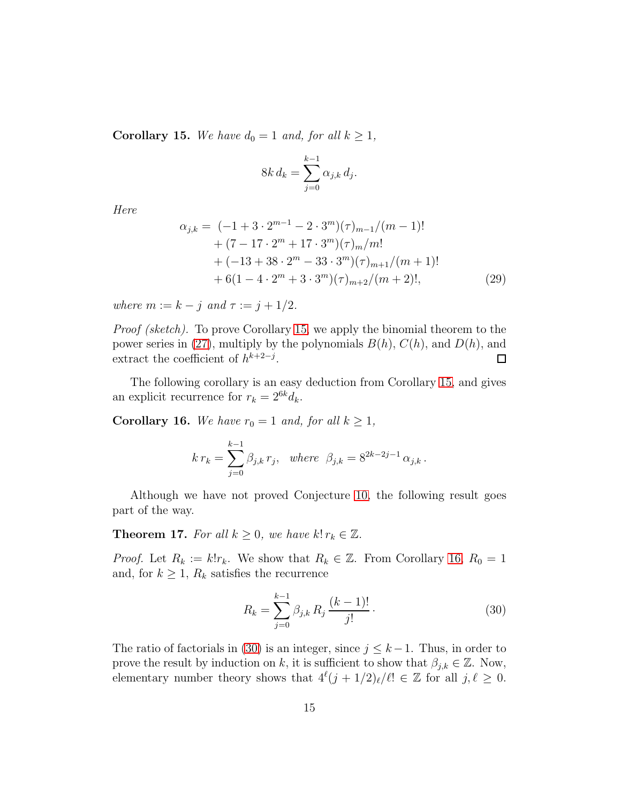<span id="page-14-1"></span>**Corollary 15.** We have  $d_0 = 1$  and, for all  $k \geq 1$ ,

<span id="page-14-4"></span>
$$
8k d_k = \sum_{j=0}^{k-1} \alpha_{j,k} d_j.
$$

*Here*

$$
\alpha_{j,k} = (-1 + 3 \cdot 2^{m-1} - 2 \cdot 3^m)(\tau)_{m-1}/(m-1)!
$$
  
+ 
$$
(7 - 17 \cdot 2^m + 17 \cdot 3^m)(\tau)_{m}/m!
$$
  
+ 
$$
(-13 + 38 \cdot 2^m - 33 \cdot 3^m)(\tau)_{m+1}/(m+1)!
$$
  
+ 
$$
6(1 - 4 \cdot 2^m + 3 \cdot 3^m)(\tau)_{m+2}/(m+2)!,
$$
 (29)

*where*  $m := k - j$  *and*  $\tau := j + 1/2$ *.* 

*Proof (sketch).* To prove Corollary [15,](#page-14-1) we apply the binomial theorem to the power series in [\(27\)](#page-12-4), multiply by the polynomials  $B(h)$ ,  $C(h)$ , and  $D(h)$ , and extract the coefficient of  $h^{k+2-j}$ .  $\Box$ 

The following corollary is an easy deduction from Corollary [15,](#page-14-1) and gives an explicit recurrence for  $r_k = 2^{6k} d_k$ .

<span id="page-14-2"></span>**Corollary 16.** *We have*  $r_0 = 1$  *and, for all*  $k \geq 1$ *,* 

$$
k r_k = \sum_{j=0}^{k-1} \beta_{j,k} r_j, \text{ where } \beta_{j,k} = 8^{2k-2j-1} \alpha_{j,k}.
$$

Although we have not proved Conjecture [10,](#page-11-0) the following result goes part of the way.

<span id="page-14-0"></span>**Theorem 17.** *For all*  $k \geq 0$ *, we have*  $k! r_k \in \mathbb{Z}$ *.* 

*Proof.* Let  $R_k := k!r_k$ . We show that  $R_k \in \mathbb{Z}$ . From Corollary [16,](#page-14-2)  $R_0 = 1$ and, for  $k \geq 1$ ,  $R_k$  satisfies the recurrence

<span id="page-14-3"></span>
$$
R_k = \sum_{j=0}^{k-1} \beta_{j,k} R_j \frac{(k-1)!}{j!}.
$$
 (30)

The ratio of factorials in [\(30\)](#page-14-3) is an integer, since  $j \leq k-1$ . Thus, in order to prove the result by induction on k, it is sufficient to show that  $\beta_{j,k} \in \mathbb{Z}$ . Now, elementary number theory shows that  $4^{\ell}(j + 1/2)_{\ell}/\ell! \in \mathbb{Z}$  for all  $j, \ell \geq 0$ .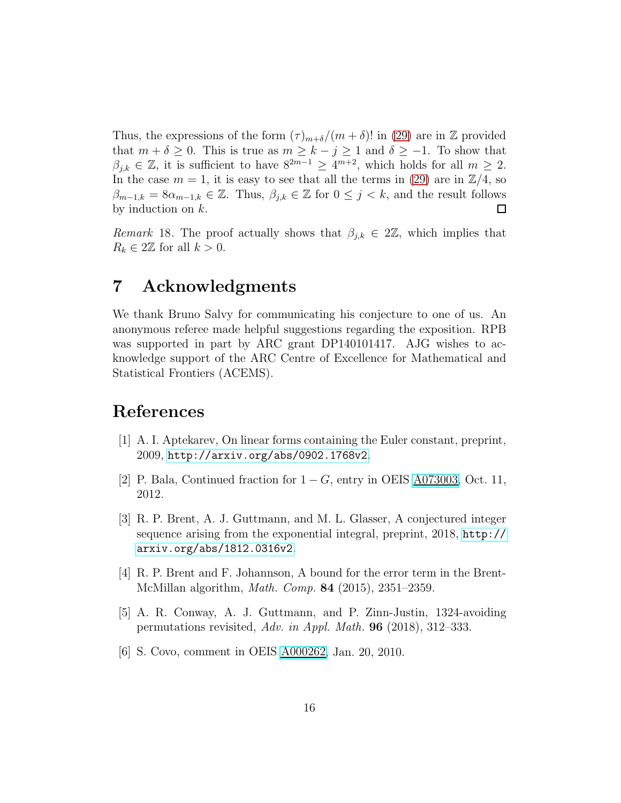Thus, the expressions of the form  $(\tau)_{m+\delta}/(m+\delta)!$  in [\(29\)](#page-14-4) are in Z provided that  $m + \delta \geq 0$ . This is true as  $m \geq k - j \geq 1$  and  $\delta \geq -1$ . To show that  $\beta_{j,k} \in \mathbb{Z}$ , it is sufficient to have  $8^{2m-1} \ge 4^{m+2}$ , which holds for all  $m \ge 2$ . In the case  $m = 1$ , it is easy to see that all the terms in [\(29\)](#page-14-4) are in  $\mathbb{Z}/4$ , so  $\beta_{m-1,k} = 8\alpha_{m-1,k} \in \mathbb{Z}$ . Thus,  $\beta_{j,k} \in \mathbb{Z}$  for  $0 \leq j \leq k$ , and the result follows by induction on k. by induction on  $k$ .

*Remark* 18. The proof actually shows that  $\beta_{j,k} \in 2\mathbb{Z}$ , which implies that  $R_k \in 2\mathbb{Z}$  for all  $k > 0$ .

#### 7 Acknowledgments

We thank Bruno Salvy for communicating his conjecture to one of us. An anonymous referee made helpful suggestions regarding the exposition. RPB was supported in part by ARC grant DP140101417. AJG wishes to acknowledge support of the ARC Centre of Excellence for Mathematical and Statistical Frontiers (ACEMS).

# <span id="page-15-0"></span>References

- <span id="page-15-4"></span>[1] A. I. Aptekarev, On linear forms containing the Euler constant, preprint, 2009, <http://arxiv.org/abs/0902.1768v2>.
- <span id="page-15-3"></span>[2] P. Bala, Continued fraction for  $1 - G$ , entry in OEIS  $\underline{\text{A}073003}$ , Oct. 11, 2012.
- [3] R. P. Brent, A. J. Guttmann, and M. L. Glasser, A conjectured integer sequence arising from the exponential integral, preprint, 2018, [http://](http://arxiv.org/abs/1812.0316v2) [arxiv.org/abs/1812.0316v2](http://arxiv.org/abs/1812.0316v2).
- <span id="page-15-5"></span>[4] R. P. Brent and F. Johannson, A bound for the error term in the Brent-McMillan algorithm, *Math. Comp.* 84 (2015), 2351–2359.
- <span id="page-15-1"></span>[5] A. R. Conway, A. J. Guttmann, and P. Zinn-Justin, 1324-avoiding permutations revisited, *Adv. in Appl. Math.* 96 (2018), 312–333.
- <span id="page-15-2"></span>[6] S. Covo, comment in OEIS [A000262,](http://oeis.org/A000262) Jan. 20, 2010.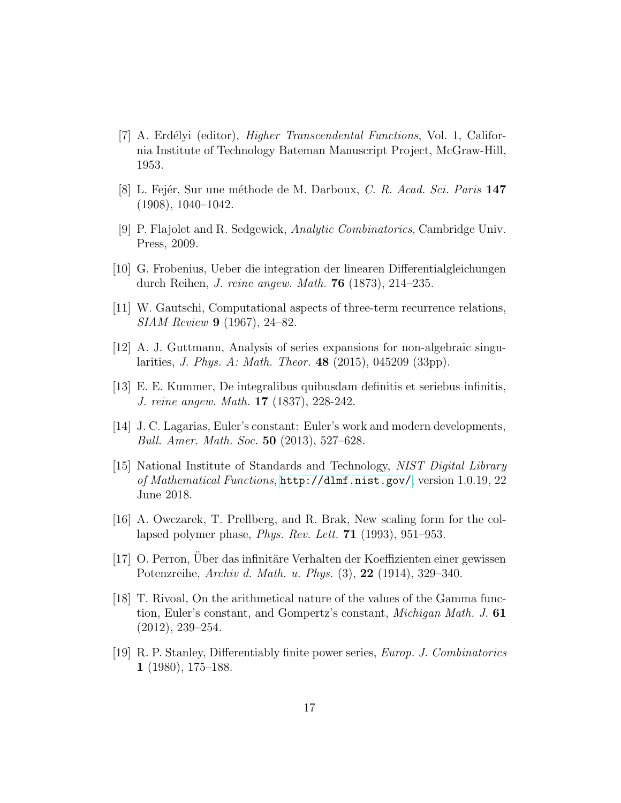- <span id="page-16-7"></span>[7] A. Erd´elyi (editor), *Higher Transcendental Functions*, Vol. 1, California Institute of Technology Bateman Manuscript Project, McGraw-Hill, 1953.
- <span id="page-16-11"></span><span id="page-16-1"></span>[8] L. Fejér, Sur une méthode de M. Darboux, *C. R. Acad. Sci. Paris* 147 (1908), 1040–1042.
- <span id="page-16-8"></span>[9] P. Flajolet and R. Sedgewick, *Analytic Combinatorics*, Cambridge Univ. Press, 2009.
- <span id="page-16-10"></span>[10] G. Frobenius, Ueber die integration der linearen Differentialgleichungen durch Reihen, *J. reine angew. Math.* 76 (1873), 214–235.
- <span id="page-16-4"></span>[11] W. Gautschi, Computational aspects of three-term recurrence relations, *SIAM Review* 9 (1967), 24–82.
- <span id="page-16-6"></span>[12] A. J. Guttmann, Analysis of series expansions for non-algebraic singularities, *J. Phys. A: Math. Theor.* 48 (2015), 045209 (33pp).
- <span id="page-16-9"></span>[13] E. E. Kummer, De integralibus quibusdam definitis et seriebus infinitis, *J. reine angew. Math.* 17 (1837), 228-242.
- [14] J. C. Lagarias, Euler's constant: Euler's work and modern developments, *Bull. Amer. Math. Soc.* 50 (2013), 527–628.
- <span id="page-16-5"></span>[15] National Institute of Standards and Technology, *NIST Digital Library of Mathematical Functions*, <http://dlmf.nist.gov/>, version 1.0.19, 22 June 2018.
- <span id="page-16-3"></span>[16] A. Owczarek, T. Prellberg, and R. Brak, New scaling form for the collapsed polymer phase, *Phys. Rev. Lett.* 71 (1993), 951–953.
- <span id="page-16-0"></span>[17] O. Perron, Uber das infinitäre Verhalten der Koeffizienten einer gewissen Potenzreihe, *Archiv d. Math. u. Phys.* (3), 22 (1914), 329–340.
- <span id="page-16-2"></span>[18] T. Rivoal, On the arithmetical nature of the values of the Gamma function, Euler's constant, and Gompertz's constant, *Michigan Math. J.* 61 (2012), 239–254.
- <span id="page-16-12"></span>[19] R. P. Stanley, Differentiably finite power series, *Europ. J. Combinatorics* 1 (1980), 175–188.